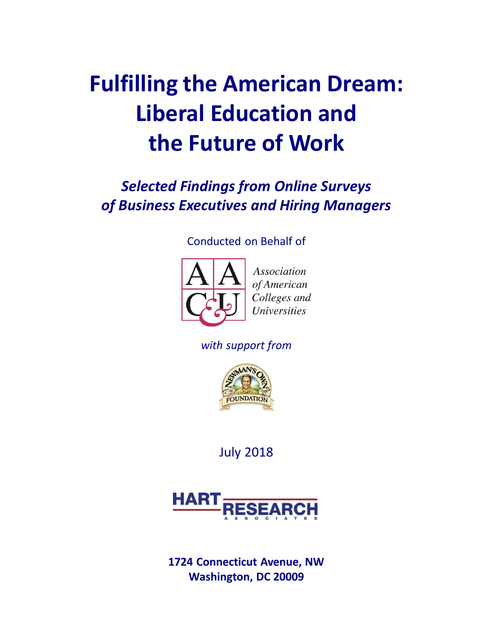# **Fulfilling the American Dream: Liberal Education and the Future of Work**

# *Selected Findings from Online Surveys of Business Executives and Hiring Managers*

# Conducted on Behalf of



**Association** of American Colleges and **Universities** 

# *with support from*



July 2018



**1724 Connecticut Avenue, NW Washington, DC 20009**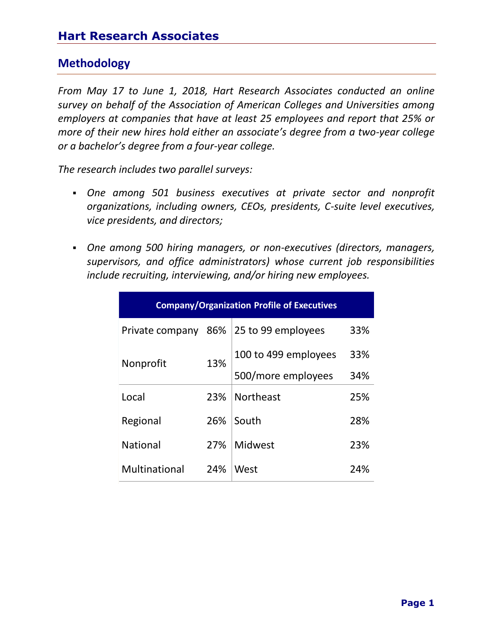#### **Methodology**

*From May 17 to June 1, 2018, Hart Research Associates conducted an online survey on behalf of the Association of American Colleges and Universities among employers at companies that have at least 25 employees and report that 25% or more of their new hires hold either an associate's degree from a two-year college or a bachelor's degree from a four-year college.* 

*The research includes two parallel surveys:* 

- *One among 501 business executives at private sector and nonprofit organizations, including owners, CEOs, presidents, C-suite level executives, vice presidents, and directors;*
- *One among 500 hiring managers, or non-executives (directors, managers, supervisors, and office administrators) whose current job responsibilities include recruiting, interviewing, and/or hiring new employees.*

| <b>Company/Organization Profile of Executives</b> |     |                      |     |  |
|---------------------------------------------------|-----|----------------------|-----|--|
| Private company 86%                               |     | 25 to 99 employees   | 33% |  |
| Nonprofit                                         | 13% | 100 to 499 employees | 33% |  |
|                                                   |     | 500/more employees   | 34% |  |
| Local                                             | 23% | <b>Northeast</b>     | 25% |  |
| Regional                                          | 26% | South                | 28% |  |
| <b>National</b>                                   | 27% | Midwest              | 23% |  |
| Multinational                                     | 24% | West                 | 24% |  |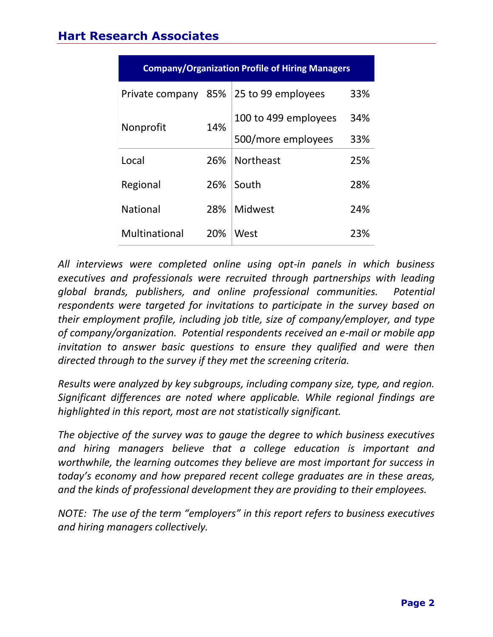| <b>Company/Organization Profile of Hiring Managers</b> |     |                      |     |  |
|--------------------------------------------------------|-----|----------------------|-----|--|
| Private company                                        | 85% | 25 to 99 employees   | 33% |  |
| Nonprofit                                              | 14% | 100 to 499 employees | 34% |  |
|                                                        |     | 500/more employees   | 33% |  |
| Local                                                  | 26% | <b>Northeast</b>     | 25% |  |
| Regional                                               | 26% | South                | 28% |  |
| <b>National</b>                                        | 28% | <b>Midwest</b>       | 24% |  |
| Multinational                                          | 20% | West                 | 23% |  |

*All interviews were completed online using opt-in panels in which business executives and professionals were recruited through partnerships with leading global brands, publishers, and online professional communities. Potential respondents were targeted for invitations to participate in the survey based on their employment profile, including job title, size of company/employer, and type of company/organization. Potential respondents received an e-mail or mobile app invitation to answer basic questions to ensure they qualified and were then directed through to the survey if they met the screening criteria.*

*Results were analyzed by key subgroups, including company size, type, and region. Significant differences are noted where applicable. While regional findings are highlighted in this report, most are not statistically significant.*

*The objective of the survey was to gauge the degree to which business executives and hiring managers believe that a college education is important and worthwhile, the learning outcomes they believe are most important for success in today's economy and how prepared recent college graduates are in these areas, and the kinds of professional development they are providing to their employees.*

*NOTE: The use of the term "employers" in this report refers to business executives and hiring managers collectively.*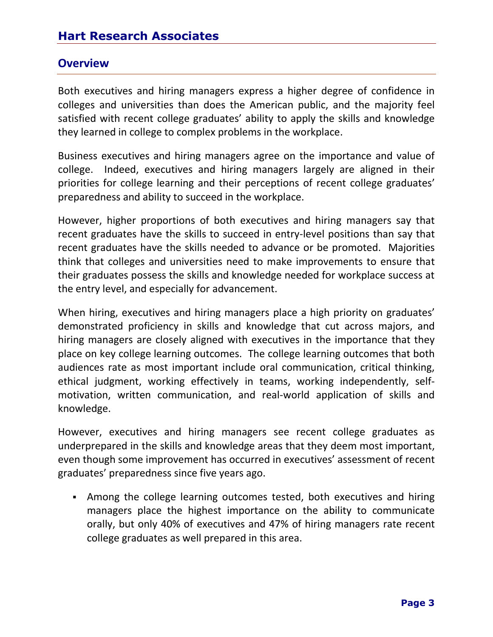#### **Overview**

Both executives and hiring managers express a higher degree of confidence in colleges and universities than does the American public, and the majority feel satisfied with recent college graduates' ability to apply the skills and knowledge they learned in college to complex problems in the workplace.

Business executives and hiring managers agree on the importance and value of college. Indeed, executives and hiring managers largely are aligned in their priorities for college learning and their perceptions of recent college graduates' preparedness and ability to succeed in the workplace.

However, higher proportions of both executives and hiring managers say that recent graduates have the skills to succeed in entry-level positions than say that recent graduates have the skills needed to advance or be promoted. Majorities think that colleges and universities need to make improvements to ensure that their graduates possess the skills and knowledge needed for workplace success at the entry level, and especially for advancement.

When hiring, executives and hiring managers place a high priority on graduates' demonstrated proficiency in skills and knowledge that cut across majors, and hiring managers are closely aligned with executives in the importance that they place on key college learning outcomes. The college learning outcomes that both audiences rate as most important include oral communication, critical thinking, ethical judgment, working effectively in teams, working independently, selfmotivation, written communication, and real-world application of skills and knowledge.

However, executives and hiring managers see recent college graduates as underprepared in the skills and knowledge areas that they deem most important, even though some improvement has occurred in executives' assessment of recent graduates' preparedness since five years ago.

 Among the college learning outcomes tested, both executives and hiring managers place the highest importance on the ability to communicate orally, but only 40% of executives and 47% of hiring managers rate recent college graduates as well prepared in this area.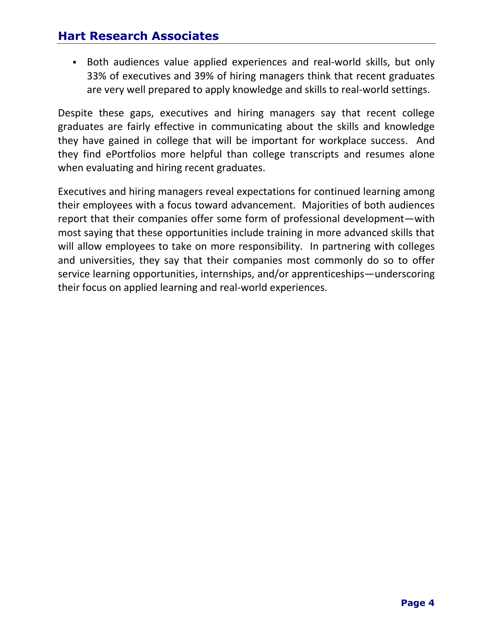Both audiences value applied experiences and real-world skills, but only 33% of executives and 39% of hiring managers think that recent graduates are very well prepared to apply knowledge and skills to real-world settings.

Despite these gaps, executives and hiring managers say that recent college graduates are fairly effective in communicating about the skills and knowledge they have gained in college that will be important for workplace success. And they find ePortfolios more helpful than college transcripts and resumes alone when evaluating and hiring recent graduates.

Executives and hiring managers reveal expectations for continued learning among their employees with a focus toward advancement. Majorities of both audiences report that their companies offer some form of professional development—with most saying that these opportunities include training in more advanced skills that will allow employees to take on more responsibility. In partnering with colleges and universities, they say that their companies most commonly do so to offer service learning opportunities, internships, and/or apprenticeships—underscoring their focus on applied learning and real-world experiences.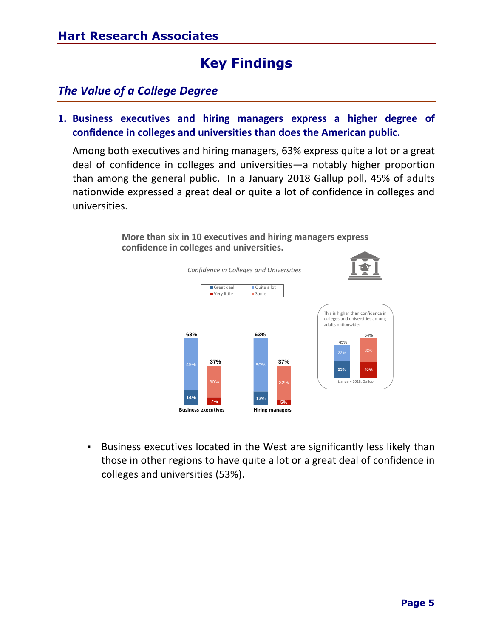# **Key Findings**

#### *The Value of a College Degree*

**1. Business executives and hiring managers express a higher degree of confidence in colleges and universities than does the American public.**

Among both executives and hiring managers, 63% express quite a lot or a great deal of confidence in colleges and universities—a notably higher proportion than among the general public. In a January 2018 Gallup poll, 45% of adults nationwide expressed a great deal or quite a lot of confidence in colleges and universities.



 Business executives located in the West are significantly less likely than those in other regions to have quite a lot or a great deal of confidence in colleges and universities (53%).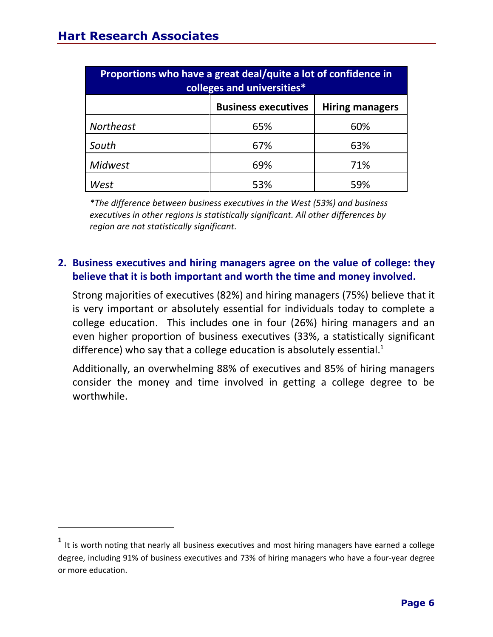$\overline{a}$ 

| Proportions who have a great deal/quite a lot of confidence in<br>colleges and universities* |     |     |  |  |
|----------------------------------------------------------------------------------------------|-----|-----|--|--|
| <b>Business executives</b><br><b>Hiring managers</b>                                         |     |     |  |  |
| <b>Northeast</b>                                                                             | 65% | 60% |  |  |
| South                                                                                        | 67% | 63% |  |  |
| <b>Midwest</b>                                                                               | 69% | 71% |  |  |
| West                                                                                         | 53% | 59% |  |  |

*\*The difference between business executives in the West (53%) and business executives in other regions is statistically significant. All other differences by region are not statistically significant.*

#### **2. Business executives and hiring managers agree on the value of college: they believe that it is both important and worth the time and money involved.**

Strong majorities of executives (82%) and hiring managers (75%) believe that it is very important or absolutely essential for individuals today to complete a college education. This includes one in four (26%) hiring managers and an even higher proportion of business executives (33%, a statistically significant difference) who say that a college education is absolutely essential.<sup>1</sup>

Additionally, an overwhelming 88% of executives and 85% of hiring managers consider the money and time involved in getting a college degree to be worthwhile.

<sup>&</sup>lt;sup>1</sup> It is worth noting that nearly all business executives and most hiring managers have earned a college degree, including 91% of business executives and 73% of hiring managers who have a four-year degree or more education.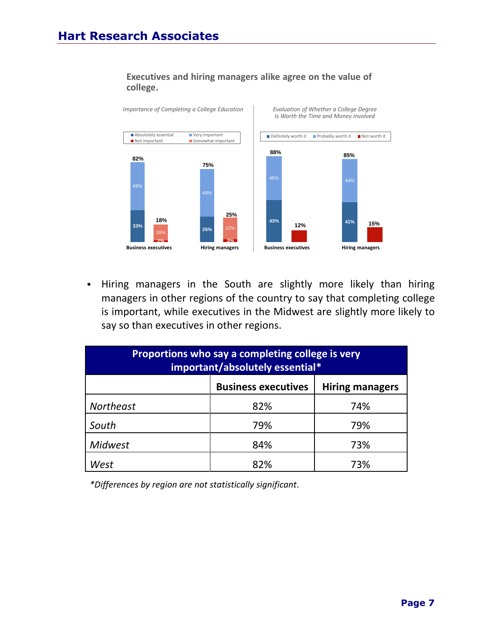

#### **Executives and hiring managers alike agree on the value of college.**

 Hiring managers in the South are slightly more likely than hiring managers in other regions of the country to say that completing college is important, while executives in the Midwest are slightly more likely to say so than executives in other regions.

| Proportions who say a completing college is very<br>important/absolutely essential* |     |     |  |  |
|-------------------------------------------------------------------------------------|-----|-----|--|--|
| <b>Business executives</b><br><b>Hiring managers</b>                                |     |     |  |  |
| <b>Northeast</b>                                                                    | 82% | 74% |  |  |
| South                                                                               | 79% | 79% |  |  |
| Midwest                                                                             | 84% | 73% |  |  |
| West                                                                                | 82% | 73% |  |  |

*\*Differences by region are not statistically significant.*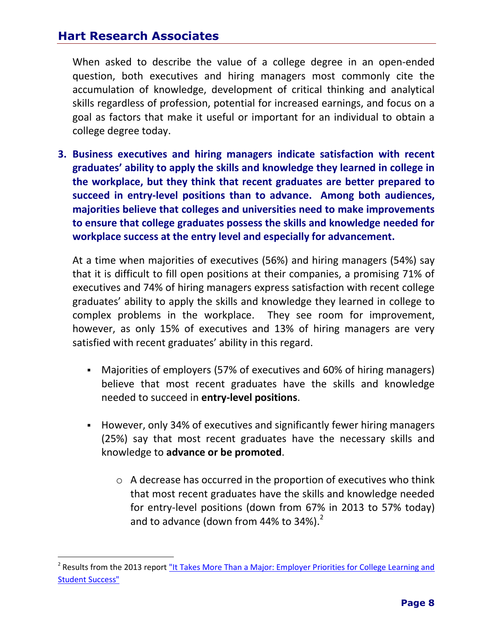$\overline{a}$ 

When asked to describe the value of a college degree in an open-ended question, both executives and hiring managers most commonly cite the accumulation of knowledge, development of critical thinking and analytical skills regardless of profession, potential for increased earnings, and focus on a goal as factors that make it useful or important for an individual to obtain a college degree today.

**3. Business executives and hiring managers indicate satisfaction with recent graduates' ability to apply the skills and knowledge they learned in college in the workplace, but they think that recent graduates are better prepared to succeed in entry-level positions than to advance. Among both audiences, majorities believe that colleges and universities need to make improvements to ensure that college graduates possess the skills and knowledge needed for workplace success at the entry level and especially for advancement.** 

At a time when majorities of executives (56%) and hiring managers (54%) say that it is difficult to fill open positions at their companies, a promising 71% of executives and 74% of hiring managers express satisfaction with recent college graduates' ability to apply the skills and knowledge they learned in college to complex problems in the workplace. They see room for improvement, however, as only 15% of executives and 13% of hiring managers are very satisfied with recent graduates' ability in this regard.

- Majorities of employers (57% of executives and 60% of hiring managers) believe that most recent graduates have the skills and knowledge needed to succeed in **entry-level positions**.
- However, only 34% of executives and significantly fewer hiring managers (25%) say that most recent graduates have the necessary skills and knowledge to **advance or be promoted**.
	- $\circ$  A decrease has occurred in the proportion of executives who think that most recent graduates have the skills and knowledge needed for entry-level positions (down from 67% in 2013 to 57% today) and to advance (down from 44% to 34%). $^2$

<sup>&</sup>lt;sup>2</sup> Results from the 2013 report "It Takes More Than a Major: Employer Priorities for College Learning and [Student Success"](https://www.aacu.org/sites/default/files/files/LEAP/2013_EmployerSurvey.pdf)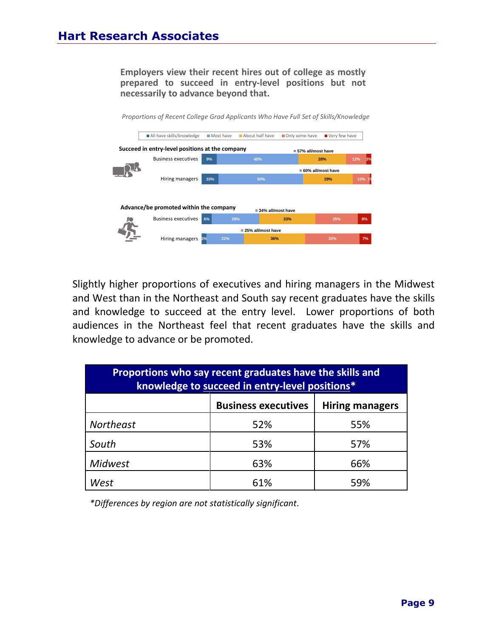**Employers view their recent hires out of college as mostly prepared to succeed in entry-level positions but not necessarily to advance beyond that.**

*Proportions of Recent College Grad Applicants Who Have Full Set of Skills/Knowledge*

| All have skills/knowledge                       |     | Most have | About half have        | Only some have |                        | Very few have       |           |
|-------------------------------------------------|-----|-----------|------------------------|----------------|------------------------|---------------------|-----------|
| Succeed in entry-level positions at the company |     |           |                        |                | $= 57\%$ all/most have |                     |           |
| <b>Business executives</b>                      | 9%  |           | 48%                    |                | 28%                    |                     | 3%<br>12% |
|                                                 |     |           |                        |                |                        | = 60% all/most have |           |
| Hiring managers                                 | 10% |           | 50%                    |                |                        | 29%                 | 10%       |
|                                                 |     |           |                        |                |                        |                     |           |
|                                                 |     |           |                        |                |                        |                     |           |
| Advance/be promoted within the company          |     |           | $= 34\%$ all/most have |                |                        |                     |           |
| <b>Business executives</b>                      | 6%  | 28%       |                        | 33%            |                        | 25%                 | 8%        |
|                                                 |     |           | $= 25\%$ all/most have |                |                        |                     |           |
| Hiring managers                                 | 3%  | 22%       | 36%                    |                |                        | 32%                 | 7%        |
|                                                 |     |           |                        |                |                        |                     |           |

Slightly higher proportions of executives and hiring managers in the Midwest and West than in the Northeast and South say recent graduates have the skills and knowledge to succeed at the entry level. Lower proportions of both audiences in the Northeast feel that recent graduates have the skills and knowledge to advance or be promoted.

| Proportions who say recent graduates have the skills and<br>knowledge to succeed in entry-level positions* |     |     |  |  |
|------------------------------------------------------------------------------------------------------------|-----|-----|--|--|
| <b>Business executives</b><br><b>Hiring managers</b>                                                       |     |     |  |  |
| <b>Northeast</b>                                                                                           | 52% | 55% |  |  |
| South                                                                                                      | 53% | 57% |  |  |
| <b>Midwest</b>                                                                                             | 63% | 66% |  |  |
| West                                                                                                       | 61% | 59% |  |  |

*\*Differences by region are not statistically significant.*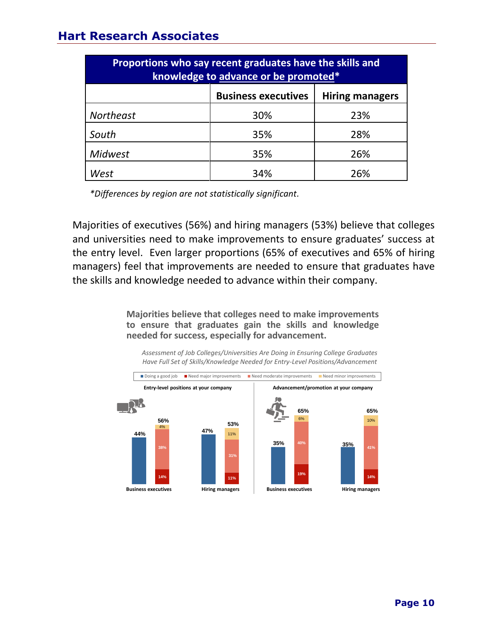| Proportions who say recent graduates have the skills and<br>knowledge to advance or be promoted* |     |     |  |  |
|--------------------------------------------------------------------------------------------------|-----|-----|--|--|
| <b>Business executives</b><br><b>Hiring managers</b>                                             |     |     |  |  |
| <b>Northeast</b>                                                                                 | 30% | 23% |  |  |
| South                                                                                            | 35% | 28% |  |  |
| <b>Midwest</b>                                                                                   | 35% | 26% |  |  |
| West                                                                                             | 34% | 26% |  |  |

*\*Differences by region are not statistically significant.*

Majorities of executives (56%) and hiring managers (53%) believe that colleges and universities need to make improvements to ensure graduates' success at the entry level. Even larger proportions (65% of executives and 65% of hiring managers) feel that improvements are needed to ensure that graduates have the skills and knowledge needed to advance within their company.

> **Majorities believe that colleges need to make improvements to ensure that graduates gain the skills and knowledge needed for success, especially for advancement.**

*Assessment of Job Colleges/Universities Are Doing in Ensuring College Graduates Have Full Set of Skills/Knowledge Needed for Entry-Level Positions/Advancement*

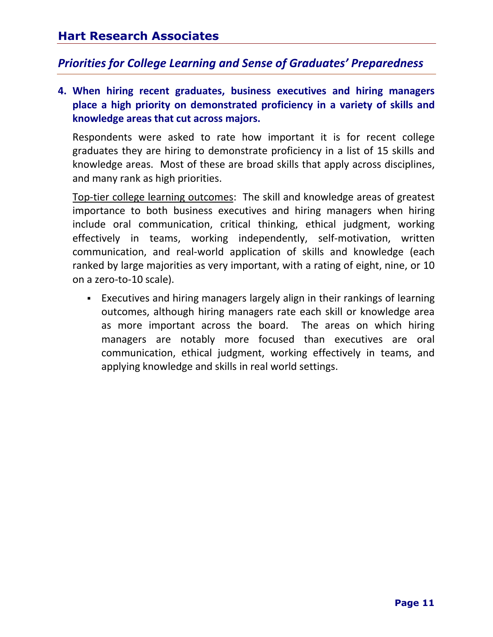#### *Priorities for College Learning and Sense of Graduates' Preparedness*

**4. When hiring recent graduates, business executives and hiring managers place a high priority on demonstrated proficiency in a variety of skills and knowledge areas that cut across majors.** 

Respondents were asked to rate how important it is for recent college graduates they are hiring to demonstrate proficiency in a list of 15 skills and knowledge areas. Most of these are broad skills that apply across disciplines, and many rank as high priorities.

Top-tier college learning outcomes: The skill and knowledge areas of greatest importance to both business executives and hiring managers when hiring include oral communication, critical thinking, ethical judgment, working effectively in teams, working independently, self-motivation, written communication, and real-world application of skills and knowledge (each ranked by large majorities as very important, with a rating of eight, nine, or 10 on a zero-to-10 scale).

 Executives and hiring managers largely align in their rankings of learning outcomes, although hiring managers rate each skill or knowledge area as more important across the board. The areas on which hiring managers are notably more focused than executives are oral communication, ethical judgment, working effectively in teams, and applying knowledge and skills in real world settings.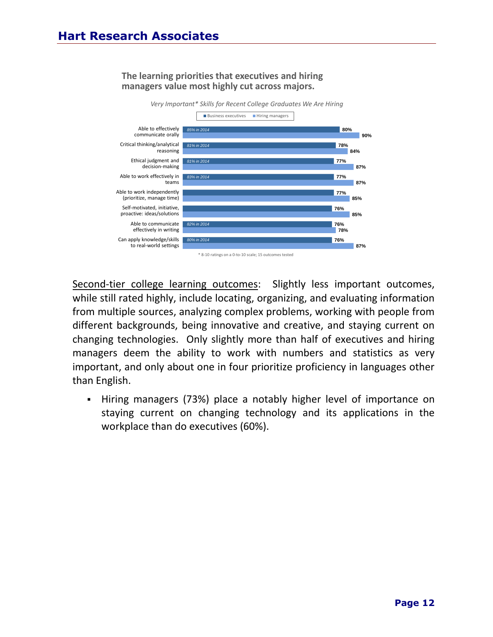

**The learning priorities that executives and hiring managers value most highly cut across majors.** 

Second-tier college learning outcomes: Slightly less important outcomes, while still rated highly, include locating, organizing, and evaluating information from multiple sources, analyzing complex problems, working with people from different backgrounds, being innovative and creative, and staying current on changing technologies. Only slightly more than half of executives and hiring managers deem the ability to work with numbers and statistics as very important, and only about one in four prioritize proficiency in languages other than English.

 Hiring managers (73%) place a notably higher level of importance on staying current on changing technology and its applications in the workplace than do executives (60%).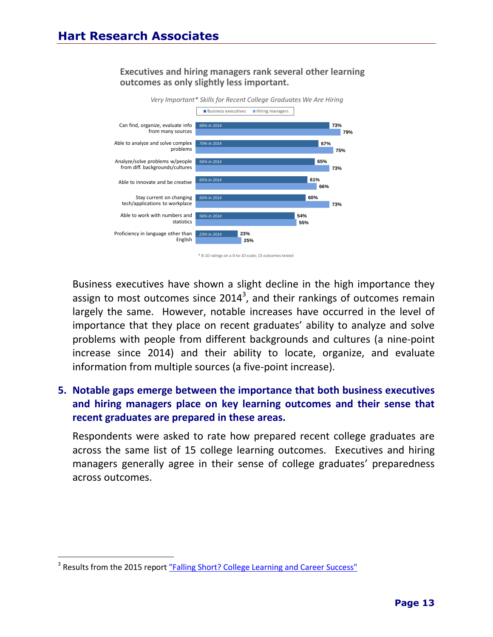#### **Executives and hiring managers rank several other learning outcomes as only slightly less important.**



Business executives have shown a slight decline in the high importance they assign to most outcomes since 2014<sup>3</sup>, and their rankings of outcomes remain largely the same. However, notable increases have occurred in the level of importance that they place on recent graduates' ability to analyze and solve problems with people from different backgrounds and cultures (a nine-point increase since 2014) and their ability to locate, organize, and evaluate information from multiple sources (a five-point increase).

#### **5. Notable gaps emerge between the importance that both business executives and hiring managers place on key learning outcomes and their sense that recent graduates are prepared in these areas.**

Respondents were asked to rate how prepared recent college graduates are across the same list of 15 college learning outcomes. Executives and hiring managers generally agree in their sense of college graduates' preparedness across outcomes.

 $\overline{a}$ 

<sup>&</sup>lt;sup>3</sup> Results from the 2015 report **"Falling Short? College Learning and Career Success"**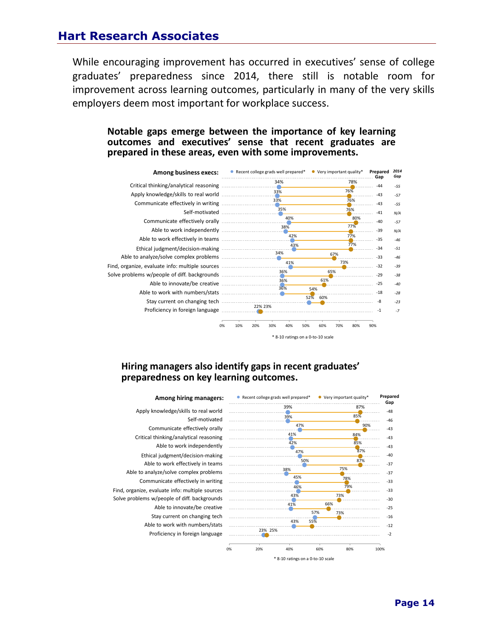While encouraging improvement has occurred in executives' sense of college graduates' preparedness since 2014, there still is notable room for improvement across learning outcomes, particularly in many of the very skills employers deem most important for workplace success.

#### **Notable gaps emerge between the importance of key learning outcomes and executives' sense that recent graduates are prepared in these areas, even with some improvements.**



#### **Hiring managers also identify gaps in recent graduates' preparedness on key learning outcomes.**



Able to work independently Ethical judgment/decision-making Able to work effectively in teams Able to analyze/solve complex problems Communicate effectively in writing Find, organize, evaluate info: multiple sources Solve problems w/people of diff. backgrounds Able to innovate/be creative Stay current on changing tech Able to work with numbers/stats Proficiency in foreign language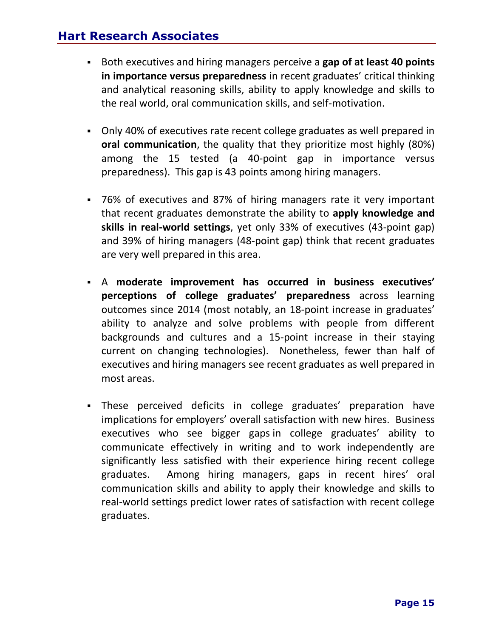- Both executives and hiring managers perceive a **gap of at least 40 points in importance versus preparedness** in recent graduates' critical thinking and analytical reasoning skills, ability to apply knowledge and skills to the real world, oral communication skills, and self-motivation.
- Only 40% of executives rate recent college graduates as well prepared in **oral communication**, the quality that they prioritize most highly (80%) among the 15 tested (a 40-point gap in importance versus preparedness). This gap is 43 points among hiring managers.
- 76% of executives and 87% of hiring managers rate it very important that recent graduates demonstrate the ability to **apply knowledge and skills in real-world settings**, yet only 33% of executives (43-point gap) and 39% of hiring managers (48-point gap) think that recent graduates are very well prepared in this area.
- A **moderate improvement has occurred in business executives' perceptions of college graduates' preparedness** across learning outcomes since 2014 (most notably, an 18-point increase in graduates' ability to analyze and solve problems with people from different backgrounds and cultures and a 15-point increase in their staying current on changing technologies). Nonetheless, fewer than half of executives and hiring managers see recent graduates as well prepared in most areas.
- These perceived deficits in college graduates' preparation have implications for employers' overall satisfaction with new hires. Business executives who see bigger gaps in college graduates' ability to communicate effectively in writing and to work independently are significantly less satisfied with their experience hiring recent college graduates. Among hiring managers, gaps in recent hires' oral communication skills and ability to apply their knowledge and skills to real-world settings predict lower rates of satisfaction with recent college graduates.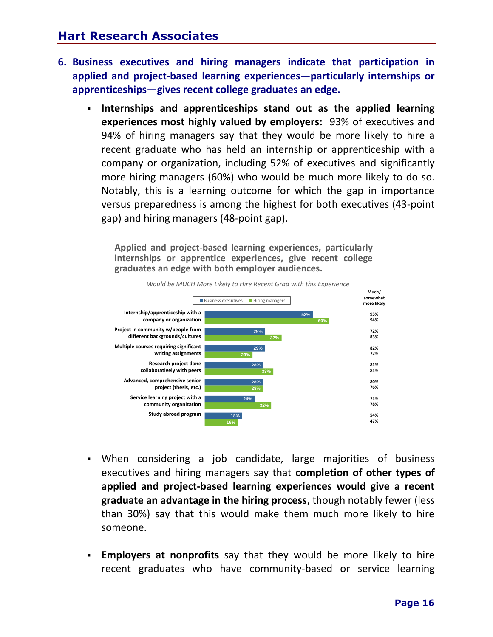- **6. Business executives and hiring managers indicate that participation in applied and project-based learning experiences—particularly internships or apprenticeships—gives recent college graduates an edge.** 
	- **Internships and apprenticeships stand out as the applied learning experiences most highly valued by employers:** 93% of executives and 94% of hiring managers say that they would be more likely to hire a recent graduate who has held an internship or apprenticeship with a company or organization, including 52% of executives and significantly more hiring managers (60%) who would be much more likely to do so. Notably, this is a learning outcome for which the gap in importance versus preparedness is among the highest for both executives (43-point gap) and hiring managers (48-point gap).

**Applied and project-based learning experiences, particularly internships or apprentice experiences, give recent college graduates an edge with both employer audiences.**



- When considering a job candidate, large majorities of business executives and hiring managers say that **completion of other types of applied and project-based learning experiences would give a recent graduate an advantage in the hiring process**, though notably fewer (less than 30%) say that this would make them much more likely to hire someone.
- **Employers at nonprofits** say that they would be more likely to hire recent graduates who have community-based or service learning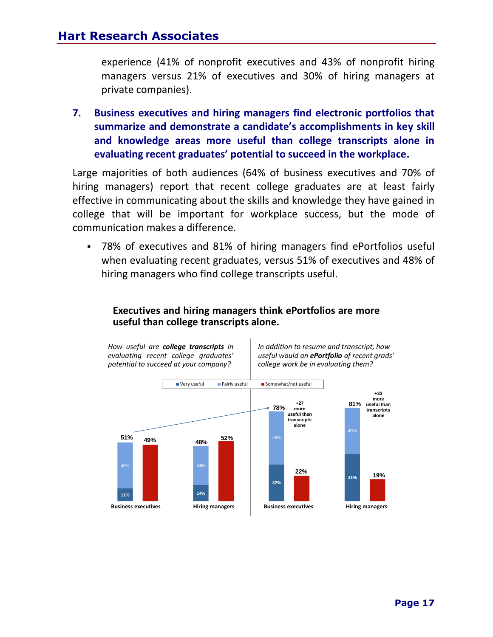experience (41% of nonprofit executives and 43% of nonprofit hiring managers versus 21% of executives and 30% of hiring managers at private companies).

**7. Business executives and hiring managers find electronic portfolios that summarize and demonstrate a candidate's accomplishments in key skill and knowledge areas more useful than college transcripts alone in evaluating recent graduates' potential to succeed in the workplace.**

Large majorities of both audiences (64% of business executives and 70% of hiring managers) report that recent college graduates are at least fairly effective in communicating about the skills and knowledge they have gained in college that will be important for workplace success, but the mode of communication makes a difference.

 78% of executives and 81% of hiring managers find ePortfolios useful when evaluating recent graduates, versus 51% of executives and 48% of hiring managers who find college transcripts useful.

#### **Executives and hiring managers think ePortfolios are more useful than college transcripts alone.**

![](_page_17_Figure_6.jpeg)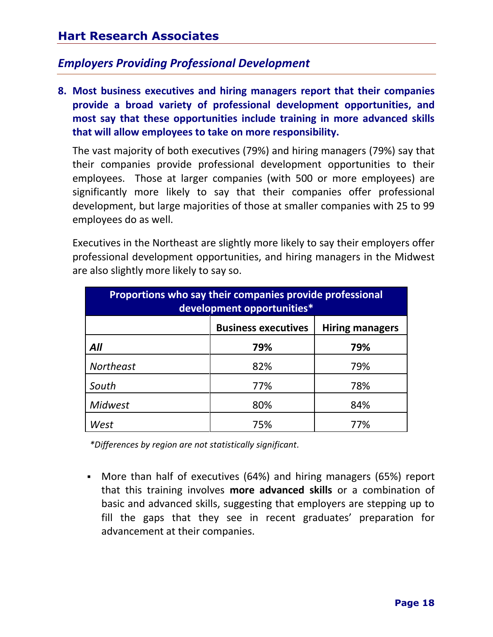#### *Employers Providing Professional Development*

**8. Most business executives and hiring managers report that their companies provide a broad variety of professional development opportunities, and most say that these opportunities include training in more advanced skills that will allow employees to take on more responsibility.** 

The vast majority of both executives (79%) and hiring managers (79%) say that their companies provide professional development opportunities to their employees. Those at larger companies (with 500 or more employees) are significantly more likely to say that their companies offer professional development, but large majorities of those at smaller companies with 25 to 99 employees do as well.

Executives in the Northeast are slightly more likely to say their employers offer professional development opportunities, and hiring managers in the Midwest are also slightly more likely to say so.

| Proportions who say their companies provide professional<br>development opportunities* |     |     |  |  |
|----------------------------------------------------------------------------------------|-----|-----|--|--|
| <b>Business executives</b><br><b>Hiring managers</b>                                   |     |     |  |  |
| All                                                                                    | 79% | 79% |  |  |
| <b>Northeast</b>                                                                       | 82% | 79% |  |  |
| South                                                                                  | 77% | 78% |  |  |
| <b>Midwest</b>                                                                         | 80% | 84% |  |  |
| West                                                                                   | 75% | 77% |  |  |

*\*Differences by region are not statistically significant.*

 More than half of executives (64%) and hiring managers (65%) report that this training involves **more advanced skills** or a combination of basic and advanced skills, suggesting that employers are stepping up to fill the gaps that they see in recent graduates' preparation for advancement at their companies.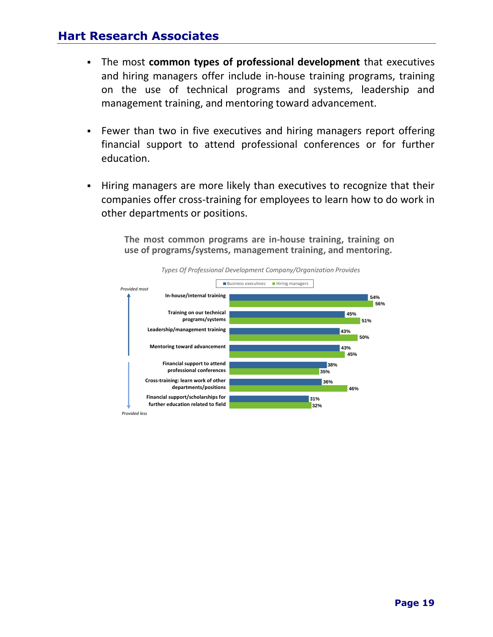- The most **common types of professional development** that executives and hiring managers offer include in-house training programs, training on the use of technical programs and systems, leadership and management training, and mentoring toward advancement.
- Fewer than two in five executives and hiring managers report offering financial support to attend professional conferences or for further education.
- Hiring managers are more likely than executives to recognize that their companies offer cross-training for employees to learn how to do work in other departments or positions.

**The most common programs are in-house training, training on use of programs/systems, management training, and mentoring.**

![](_page_19_Figure_5.jpeg)